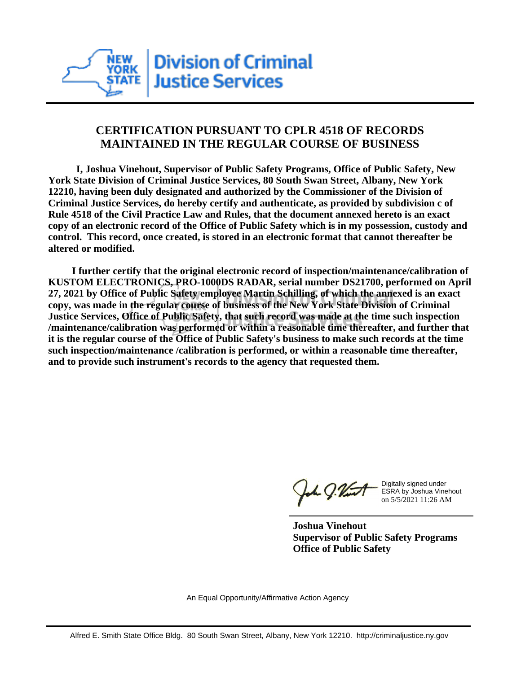

## **CERTIFICATION PURSUANT TO CPLR 4518 OF RECORDS MAINTAINED IN THE REGULAR COURSE OF BUSINESS**

 **I, Joshua Vinehout, Supervisor of Public Safety Programs, Office of Public Safety, New York State Division of Criminal Justice Services, 80 South Swan Street, Albany, New York 12210, having been duly designated and authorized by the Commissioner of the Division of Criminal Justice Services, do hereby certify and authenticate, as provided by subdivision c of Rule 4518 of the Civil Practice Law and Rules, that the document annexed hereto is an exact copy of an electronic record of the Office of Public Safety which is in my possession, custody and control. This record, once created, is stored in an electronic format that cannot thereafter be altered or modified.**

 **I further certify that the original electronic record of inspection/maintenance/calibration of KUSTOM ELECTRONICS, PRO-1000DS RADAR, serial number DS21700, performed on April 27, 2021 by Office of Public Safety employee Martin Schilling, of which the annexed is an exact copy, was made in the regular course of business of the New York State Division of Criminal Justice Services, Office of Public Safety, that such record was made at the time such inspection /maintenance/calibration was performed or within a reasonable time thereafter, and further that it is the regular course of the Office of Public Safety's business to make such records at the time such inspection/maintenance /calibration is performed, or within a reasonable time thereafter, and to provide such instrument's records to the agency that requested them.**

the J. Vint

Digitally signed under ESRA by Joshua Vinehout on 5/5/2021 11:26 AM

**Joshua Vinehout Supervisor of Public Safety Programs Office of Public Safety**

An Equal Opportunity/Affirmative Action Agency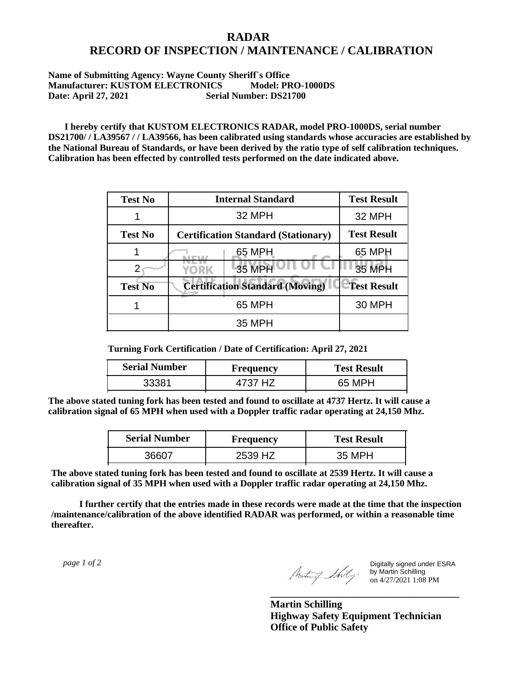## **RADAR RECORD OF INSPECTION / MAINTENANCE / CALIBRATION**

## **Name of Submitting Agency: Wayne County Sheriff`s Office Manufacturer: KUSTOM ELECTRONICS Model: PRO-1000DS Date: April 27, 2021 Serial Number: DS21700**

 **I hereby certify that KUSTOM ELECTRONICS RADAR, model PRO-1000DS, serial number DS21700/ / LA39567 / / LA39566, has been calibrated using standards whose accuracies are established by the National Bureau of Standards, or have been derived by the ratio type of self calibration techniques. Calibration has been effected by controlled tests performed on the date indicated above.**

| <b>Test No</b> | <b>Internal Standard</b>                   | <b>Test Result</b> |
|----------------|--------------------------------------------|--------------------|
|                | 32 MPH                                     | 32 MPH             |
| <b>Test No</b> | <b>Certification Standard (Stationary)</b> | <b>Test Result</b> |
|                | 65 MPH                                     | 65 MPH             |
|                | 35 MPH<br>YORK                             | <b>35 MPH</b>      |
| <b>Test No</b> | <b>Certification Standard (Moving)</b>     | <b>Test Result</b> |
|                | 65 MPH                                     | <b>30 MPH</b>      |
|                | 35 MPH                                     |                    |

**Turning Fork Certification / Date of Certification: April 27, 2021**

| <b>Serial Number</b> | Frequency | <b>Test Result</b> |
|----------------------|-----------|--------------------|
| 33381                | H7        | 65 MPH             |

**The above stated tuning fork has been tested and found to oscillate at 4737 Hertz. It will cause a calibration signal of 65 MPH when used with a Doppler traffic radar operating at 24,150 Mhz.**

| <b>Serial Number</b> | Frequency | <b>Test Result</b> |
|----------------------|-----------|--------------------|
| 36607                | 2539 HZ   | 35 MPH             |

**The above stated tuning fork has been tested and found to oscillate at 2539 Hertz. It will cause a calibration signal of 35 MPH when used with a Doppler traffic radar operating at 24,150 Mhz.**

 **I further certify that the entries made in these records were made at the time that the inspection /maintenance/calibration of the above identified RADAR was performed, or within a reasonable time thereafter.**

 *page 1 of 2* 

Digitally signed under ESRA by Martin Schilling on 4/27/2021 1:08 PM

**Martin Schilling Highway Safety Equipment Technician Office of Public Safety**

**\_\_\_\_\_\_\_\_\_\_\_\_\_\_\_\_\_\_\_\_\_\_\_\_\_\_\_\_\_\_\_\_\_\_\_\_\_**